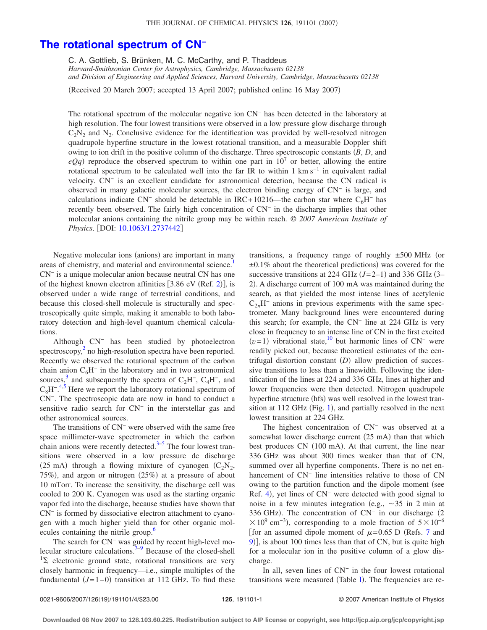## **[The rotational spectrum of CN](http://dx.doi.org/10.1063/1.2737442)<sup>−</sup>**

C. A. Gottlieb, S. Brünken, M. C. McCarthy, and P. Thaddeus

*Harvard-Smithsonian Center for Astrophysics, Cambridge, Massachusetts 02138 and Division of Engineering and Applied Sciences, Harvard University, Cambridge, Massachusetts 02138*

(Received 20 March 2007; accepted 13 April 2007; published online 16 May 2007)

The rotational spectrum of the molecular negative ion CN<sup>−</sup> has been detected in the laboratory at high resolution. The four lowest transitions were observed in a low pressure glow discharge through  $C_2N_2$  and  $N_2$ . Conclusive evidence for the identification was provided by well-resolved nitrogen quadrupole hyperfine structure in the lowest rotational transition, and a measurable Doppler shift owing to ion drift in the positive column of the discharge. Three spectroscopic constants *B*, *D*, and  $eQq$ ) reproduce the observed spectrum to within one part in  $10<sup>7</sup>$  or better, allowing the entire rotational spectrum to be calculated well into the far IR to within 1 km s<sup>−1</sup> in equivalent radial velocity. CN<sup>−</sup> is an excellent candidate for astronomical detection, because the CN radical is observed in many galactic molecular sources, the electron binding energy of CN<sup>−</sup> is large, and calculations indicate CN<sup>−</sup> should be detectable in IRC+10216—the carbon star where C<sub>6</sub>H<sup>−</sup> has recently been observed. The fairly high concentration of CN<sup>−</sup> in the discharge implies that other molecular anions containing the nitrile group may be within reach. © *2007 American Institute of Physics.* [DOI: [10.1063/1.2737442](http://dx.doi.org/10.1063/1.2737442)]

Negative molecular ions (anions) are important in many areas of chemistry, and material and environmental science.<sup>1</sup> CN<sup>−</sup> is a unique molecular anion because neutral CN has one of the highest known electron affinities  $[3.86 \text{ eV} \text{ (Ref. 2)}]$  $[3.86 \text{ eV} \text{ (Ref. 2)}]$  $[3.86 \text{ eV} \text{ (Ref. 2)}]$ , is observed under a wide range of terrestrial conditions, and because this closed-shell molecule is structurally and spectroscopically quite simple, making it amenable to both laboratory detection and high-level quantum chemical calculations.

Although CN<sup>−</sup> has been studied by photoelectron spectroscopy, $\frac{2}{3}$  no high-resolution spectra have been reported. Recently we observed the rotational spectrum of the carbon chain anion  $C_6H^-$  in the laboratory and in two astronomical sources,<sup>[3](#page-3-0)</sup> and subsequently the spectra of C<sub>2</sub>H<sup>-</sup>, C<sub>4</sub>H<sup>-</sup>, and  $C_8H^{-4,5}$  $C_8H^{-4,5}$  $C_8H^{-4,5}$  $C_8H^{-4,5}$  Here we report the laboratory rotational spectrum of CN−. The spectroscopic data are now in hand to conduct a sensitive radio search for CN<sup>−</sup> in the interstellar gas and other astronomical sources.

The transitions of CN<sup>−</sup> were observed with the same free space millimeter-wave spectrometer in which the carbon chain anions were recently detected. $3-5$  $3-5$  The four lowest transitions were observed in a low pressure dc discharge (25 mA) through a flowing mixture of cyanogen  $(C_2N_2,$ 75%), and argon or nitrogen (25%) at a pressure of about 10 mTorr. To increase the sensitivity, the discharge cell was cooled to 200 K. Cyanogen was used as the starting organic vapor fed into the discharge, because studies have shown that CN<sup>−</sup> is formed by dissociative electron attachment to cyanogen with a much higher yield than for other organic molecules containing the nitrile group.<sup>6</sup>

The search for CN<sup>−</sup> was guided by recent high-level mo-lecular structure calculations.<sup>7[–9](#page-3-5)</sup> Because of the closed-shell  $12$  electronic ground state, rotational transitions are very closely harmonic in frequency—i.e., simple multiples of the fundamental  $(J=1-0)$  transition at 112 GHz. To find these

transitions, a frequency range of roughly  $\pm 500$  MHz (or  $\pm 0.1\%$  about the theoretical predictions) was covered for the successive transitions at 224 GHz  $(J=2-1)$  and 336 GHz  $(3-$ 2). A discharge current of 100 mA was maintained during the search, as that yielded the most intense lines of acetylenic C2*n*H<sup>−</sup> anions in previous experiments with the same spectrometer. Many background lines were encountered during this search; for example, the CN<sup>−</sup> line at 224 GHz is very close in frequency to an intense line of CN in the first excited  $(v=1)$  vibrational state,<sup>10</sup> but harmonic lines of CN<sup>−</sup> were readily picked out, because theoretical estimates of the centrifugal distortion constant (D) allow prediction of successive transitions to less than a linewidth. Following the identification of the lines at 224 and 336 GHz, lines at higher and lower frequencies were then detected. Nitrogen quadrupole hyperfine structure (hfs) was well resolved in the lowest tran-sition at [1](#page-1-0)12 GHz (Fig. 1), and partially resolved in the next lowest transition at 224 GHz.

The highest concentration of CN<sup>−</sup> was observed at a somewhat lower discharge current (25 mA) than that which best produces CN (100 mA). At that current, the line near 336 GHz was about 300 times weaker than that of CN, summed over all hyperfine components. There is no net enhancement of CN<sup>−</sup> line intensities relative to those of CN owing to the partition function and the dipole moment (see Ref. [4](#page-3-1)), yet lines of CN<sup>-</sup> were detected with good signal to noise in a few minutes integration (e.g.,  $\sim$ 35 in 2 min at 336 GHz). The concentration of CN<sup>-</sup> in our discharge (2  $\times$  10<sup>9</sup> cm<sup>-3</sup>), corresponding to a mole fraction of 5  $\times$  10<sup>-6</sup> [for an assumed dipole moment of  $\mu$ =0.65 D (Refs. [7](#page-3-4) and [9](#page-3-5))], is about 100 times less than that of CN, but is quite high for a molecular ion in the positive column of a glow discharge.

In all, seven lines of CN<sup>−</sup> in the four lowest rotational transitions were measured (Table [I](#page-1-1)). The frequencies are re-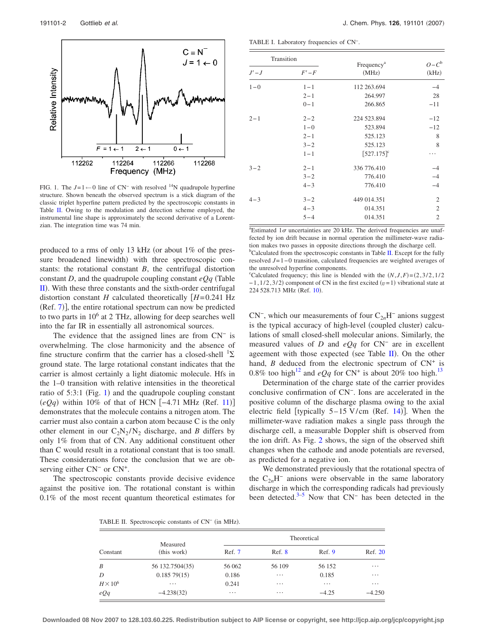<span id="page-1-0"></span>

FIG. 1. The  $J=1$  ← 0 line of CN<sup>-</sup> with resolved <sup>14</sup>N quadrupole hyperfine structure. Shown beneath the observed spectrum is a stick diagram of the classic triplet hyperfine pattern predicted by the spectroscopic constants in Table [II.](#page-1-2) Owing to the modulation and detection scheme employed, the instrumental line shape is approximately the second derivative of a Lorentzian. The integration time was 74 min.

produced to a rms of only 13 kHz (or about  $1\%$  of the pressure broadened linewidth) with three spectroscopic constants: the rotational constant *B*, the centrifugal distortion constant *D*, and the quadrupole coupling constant  $eQq$  (Table [II](#page-1-2)). With these three constants and the sixth-order centrifugal distortion constant *H* calculated theoretically  $[H=0.241 \text{ Hz}]$ (Ref. [7](#page-3-4))], the entire rotational spectrum can now be predicted to two parts in  $10<sup>6</sup>$  at 2 THz, allowing for deep searches well into the far IR in essentially all astronomical sources.

The evidence that the assigned lines are from CN<sup>−</sup> is overwhelming. The close harmonicity and the absence of fine structure confirm that the carrier has a closed-shell  ${}^{1}\Sigma$ ground state. The large rotational constant indicates that the carrier is almost certainly a light diatomic molecule. Hfs in the 1–0 transition with relative intensities in the theoretical ratio of  $5:3:1$  $5:3:1$  (Fig. 1) and the quadrupole coupling constant  $(eQq)$  within 10% of that of HCN [-4.71 MHz (Ref. [11](#page-3-7))] demonstrates that the molecule contains a nitrogen atom. The carrier must also contain a carbon atom because C is the only other element in our  $C_2N_2/N_2$  discharge, and *B* differs by only 1% from that of CN. Any additional constituent other than C would result in a rotational constant that is too small. These considerations force the conclusion that we are observing either  $CN<sup>−</sup>$  or  $CN<sup>+</sup>$ .

<span id="page-1-2"></span>The spectroscopic constants provide decisive evidence against the positive ion. The rotational constant is within 0.1% of the most recent quantum theoretical estimates for

191101-2 Gottlieb *et al.* J. Chem. Phys. **126**, 191101 2007-

<span id="page-1-1"></span>TABLE I. Laboratory frequencies of CN−.

| Transition |         |                                 |                    |  |
|------------|---------|---------------------------------|--------------------|--|
| $J'-J$     | $F'-F$  | Frequency <sup>a</sup><br>(MHz) | $O - C^b$<br>(kHz) |  |
| $1 - 0$    | $1 - 1$ | 112 263.694                     | $-4$               |  |
|            | $2 - 1$ | 264.997                         | 28                 |  |
|            | $0 - 1$ | 266.865                         | $-11$              |  |
| $2 - 1$    | $2 - 2$ | 224 523.894                     | $-12$              |  |
|            | $1 - 0$ | 523.894                         | $-12$              |  |
|            | $2 - 1$ | 525.123                         | 8                  |  |
|            | $3 - 2$ | 525.123                         | 8                  |  |
|            | $1 - 1$ | $[527.175]$ <sup>c</sup>        |                    |  |
| $3 - 2$    | $2 - 1$ | 336 776.410                     | $-4$               |  |
|            | $3 - 2$ | 776.410                         | $-4$               |  |
|            | $4 - 3$ | 776.410                         | $-4$               |  |
| $4 - 3$    | $3 - 2$ | 449 014.351                     | $\mathfrak{2}$     |  |
|            | $4 - 3$ | 014.351                         | $\mathfrak{2}$     |  |
|            | $5 - 4$ | 014.351                         | $\overline{2}$     |  |

 $a$ Estimated 1 $\sigma$  uncertainties are 20 kHz. The derived frequencies are unaffected by ion drift because in normal operation the millimeter-wave radiation makes two passes in opposite directions through the discharge cell. <sup>b</sup>Calculated from the spectroscopic constants in Table [II.](#page-1-2) Except for the fully resolved *J*=1−0 transition, calculated frequencies are weighted averages of the unresolved hyperfine components.

<sup>c</sup>Calculated frequency; this line is blended with the  $(N, J, F) = (2, 3/2, 1/2)$  $-1$ ,  $1/2$ ,  $3/2$ ) component of CN in the first excited  $(v=1)$  vibrational state at 224 528.713 MHz (Ref. [10](#page-3-6)).

 $CN^-$ , which our measurements of four  $C_{2n}H^-$  anions suggest is the typical accuracy of high-level (coupled cluster) calculations of small closed-shell molecular anions. Similarly, the measured values of *D* and *eQq* for CN<sup>−</sup> are in excellent ageement with those expected (see Table  $II$ ). On the other hand,  $B$  deduced from the electronic spectrum of  $CN^+$  is 0.8% too high<sup>12</sup> and *eQq* for CN<sup>+</sup> is about 20% too high.<sup>13</sup>

Determination of the charge state of the carrier provides conclusive confirmation of CN−. Ions are accelerated in the positive column of the discharge plasma owing to the axial electric field [typically  $5-15$  V/cm (Ref. [14](#page-3-10))]. When the millimeter-wave radiation makes a single pass through the discharge cell, a measurable Doppler shift is observed from the ion drift. As Fig. [2](#page-2-2) shows, the sign of the observed shift changes when the cathode and anode potentials are reversed, as predicted for a negative ion.

We demonstrated previously that the rotational spectra of the C2*n*H<sup>−</sup> anions were observable in the same laboratory discharge in which the corresponding radicals had previously been detected.<sup>3[–5](#page-3-2)</sup> Now that  $CN^-$  has been detected in the

TABLE II. Spectroscopic constants of CN<sup>-</sup> (in MHz).

| Constant        | Measured<br>(this work) | Theoretical |          |          |          |  |
|-----------------|-------------------------|-------------|----------|----------|----------|--|
|                 |                         | Ref. 7      | Ref. 8   | Ref. 9   | Ref. 20  |  |
| B               | 56 132.7504 (35)        | 56 062      | 56 109   | 56 152   | $\cdots$ |  |
| D               | 0.18579(15)             | 0.186       | $\cdots$ | 0.185    | $\cdots$ |  |
| $H \times 10^6$ | $\cdots$                | 0.241       | $\cdots$ | $\cdots$ | $\cdots$ |  |
| eQq             | $-4.238(32)$            | $\cdots$    | $\cdots$ | $-4.25$  | $-4.250$ |  |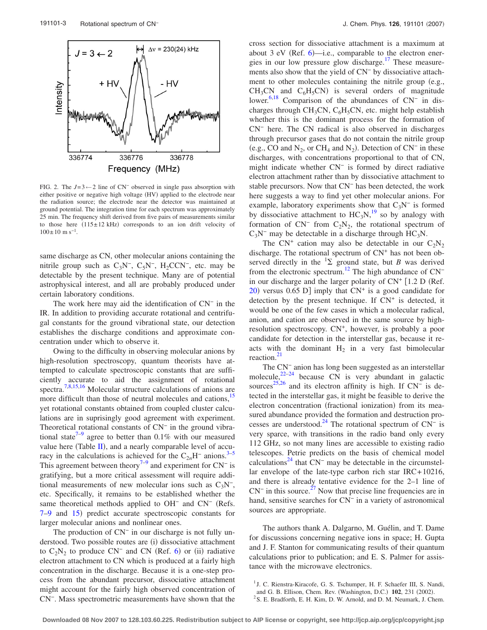<span id="page-2-2"></span>

FIG. 2. The *<sup>J</sup>*=3←2 line of CN<sup>−</sup> observed in single pass absorption with either positive or negative high voltage (HV) applied to the electrode near the radiation source; the electrode near the detector was maintained at ground potential. The integration time for each spectrum was approximately 25 min. The frequency shift derived from five pairs of measurements similar to those here  $(115 \pm 12 \text{ kHz})$  corresponds to an ion drift velocity of  $100\pm10$  m s<sup>-1</sup>.

same discharge as CN, other molecular anions containing the nitrile group such as  $C_3N^-$ ,  $C_5N^-$ ,  $H_2CCN^-$ , etc. may be detectable by the present technique. Many are of potential astrophysical interest, and all are probably produced under certain laboratory conditions.

The work here may aid the identification of  $CN^-$  in the IR. In addition to providing accurate rotational and centrifugal constants for the ground vibrational state, our detection establishes the discharge conditions and approximate concentration under which to observe it.

Owing to the difficulty in observing molecular anions by high-resolution spectroscopy, quantum theorists have attempted to calculate spectroscopic constants that are sufficiently accurate to aid the assignment of rotational spectra.<sup>7[,8,](#page-3-11)[15](#page-3-13)[,16](#page-3-14)</sup> Molecular structure calculations of anions are more difficult than those of neutral molecules and cations,<sup>15</sup> yet rotational constants obtained from coupled cluster calculations are in suprisingly good agreement with experiment. Theoretical rotational constants of CN<sup>−</sup> in the ground vibrational state<sup> $7-9$ </sup> agree to better than 0.1% with our measured value here (Table  $II$ ), and a nearly comparable level of accuracy in the calculations is achieved for the  $C_{2n}H^-$  anions.<sup>3–[5](#page-3-2)</sup> This agreement between theory<sup>7[–9](#page-3-5)</sup> and experiment for CN<sup>−</sup> is gratifying, but a more critical assessment will require additional measurements of new molecular ions such as  $C_3N^-$ , etc. Specifically, it remains to be established whether the same theoretical methods applied to OH<sup>−</sup> and CN<sup>−</sup> (Refs. [7](#page-3-4)-9 and [15](#page-3-13)) predict accurate spectroscopic constants for larger molecular anions and nonlinear ones.

The production of  $CN^-$  in our discharge is not fully understood. Two possible routes are (i) dissociative attachment to  $C_2N_2$  to produce  $CN^-$  and CN (Ref. [6](#page-3-3)) or (ii) radiative electron attachment to CN which is produced at a fairly high concentration in the discharge. Because it is a one-step process from the abundant precursor, dissociative attachment might account for the fairly high observed concentration of CN−. Mass spectrometric measurements have shown that the cross section for dissociative attachment is a maximum at about  $3$  eV (Ref. [6](#page-3-3))—i.e., comparable to the electron energies in our low pressure glow discharge.<sup>17</sup> These measurements also show that the yield of CN<sup>−</sup> by dissociative attachment to other molecules containing the nitrile group  $(e.g.,)$  $CH_3CN$  and  $C_6H_5CN$ ) is several orders of magnitude lower[.6](#page-3-3)[,18](#page-3-16) Comparison of the abundances of CN<sup>−</sup> in discharges through CH<sub>3</sub>CN, C<sub>6</sub>H<sub>5</sub>CN, etc. might help establish whether this is the dominant process for the formation of CN<sup>−</sup> here. The CN radical is also observed in discharges through precursor gases that do not contain the nitrile group (e.g., CO and  $N_2$ , or CH<sub>4</sub> and  $N_2$ ). Detection of CN<sup>-</sup> in these discharges, with concentrations proportional to that of CN, might indicate whether CN<sup>−</sup> is formed by direct radiative electron attachment rather than by dissociative attachment to stable precursors. Now that CN<sup>−</sup> has been detected, the work here suggests a way to find yet other molecular anions. For example, laboratory experiments show that  $C_3N^-$  is formed by dissociative attachment to  $HC_3N$ ,<sup>[19](#page-3-17)</sup> so by analogy with formation of  $CN^-$  from  $C_2N_2$ , the rotational spectrum of  $C_3N^-$  may be detectable in a discharge through HC<sub>3</sub>N.

The  $CN^+$  cation may also be detectable in our  $C_2N_2$ discharge. The rotational spectrum of  $CN<sup>+</sup>$  has not been observed directly in the  ${}^{1}\Sigma$  ground state, but *B* was derived from the electronic spectrum.<sup>12</sup> The high abundance of  $CN^$ in our discharge and the larger polarity of  $CN^+$  [1.2 D (Ref. [20](#page-3-12)) versus 0.65 D] imply that  $CN^+$  is a good candidate for detection by the present technique. If  $CN^+$  is detected, it would be one of the few cases in which a molecular radical, anion, and cation are observed in the same source by highresolution spectroscopy.  $CN^+$ , however, is probably a poor candidate for detection in the interstellar gas, because it reacts with the dominant  $H_2$  in a very fast bimolecular reaction.<sup>21</sup>

The CN<sup>−</sup> anion has long been suggested as an interstellar molecule, $2^{22-24}$  $2^{22-24}$  $2^{22-24}$  because CN is very abundant in galactic sources<sup>[25](#page-3-21)[,26](#page-3-22)</sup> and its electron affinity is high. If  $CN^-$  is detected in the interstellar gas, it might be feasible to derive the electron concentration (fractional ionization) from its measured abundance provided the formation and destruction processes are understood[.24](#page-3-20) The rotational spectrum of CN<sup>−</sup> is very sparce, with transitions in the radio band only every 112 GHz, so not many lines are accessible to existing radio telescopes. Petrie predicts on the basis of chemical model calculations<sup>24</sup> that  $CN$ <sup>-</sup> may be detectable in the circumstellar envelope of the late-type carbon rich star IRC+10216, and there is already tentative evidence for the 2–1 line of  $CN^-$  in this source.<sup>27</sup> Now that precise line frequencies are in hand, sensitive searches for CN<sup>−</sup> in a variety of astronomical sources are appropriate.

The authors thank A. Dalgarno, M. Guélin, and T. Dame for discussions concerning negative ions in space; H. Gupta and J. F. Stanton for communicating results of their quantum calculations prior to publication; and E. S. Palmer for assistance with the microwave electronics.

<span id="page-2-0"></span><sup>&</sup>lt;sup>1</sup> J. C. Rienstra-Kiracofe, G. S. Tschumper, H. F. Schaefer III, S. Nandi,

and G. B. Ellison, Chem. Rev. (Washington, D.C.)  $102$ ,  $231$  ( $2002$ ).

<span id="page-2-1"></span> $2$ S. E. Bradforth, E. H. Kim, D. W. Arnold, and D. M. Neumark, J. Chem.